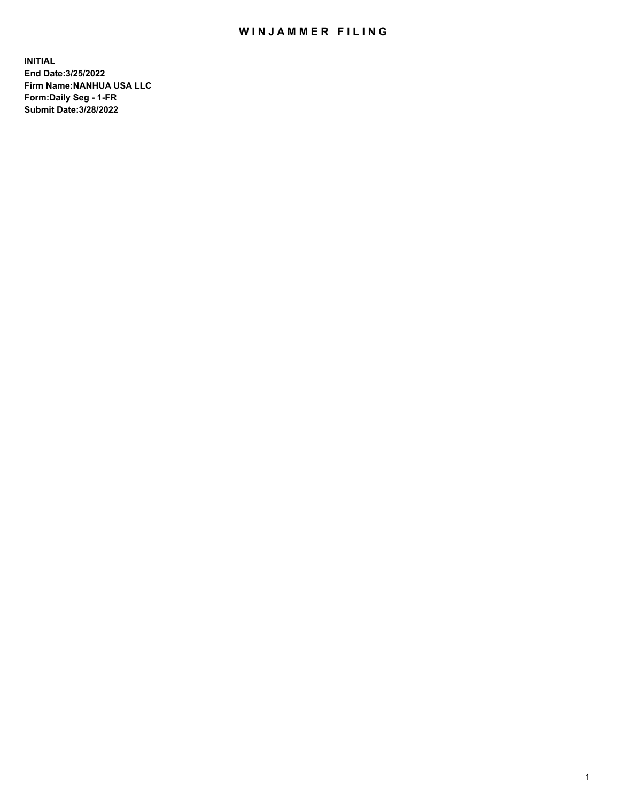## WIN JAMMER FILING

**INITIAL End Date:3/25/2022 Firm Name:NANHUA USA LLC Form:Daily Seg - 1-FR Submit Date:3/28/2022**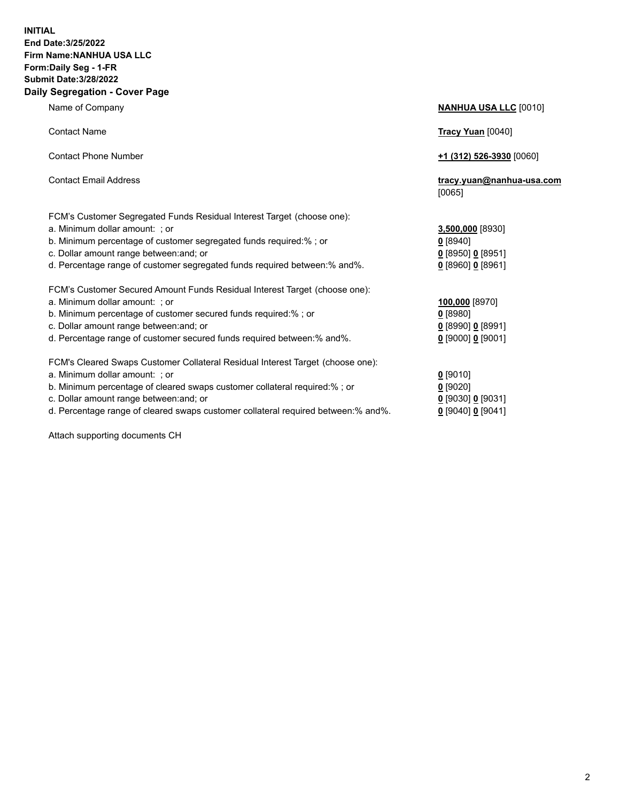## **INITIAL End Date:3/25/2022 Firm Name:NANHUA USA LLC Form:Daily Seg - 1-FR Submit Date:3/28/2022 Daily Segregation - Cover Page**

Name of Company **NANHUA USA LLC** [0010] Contact Name **Tracy Yuan** [0040] Contact Phone Number **+1 (312) 526-3930** [0060] Contact Email Address **tracy.yuan@nanhua-usa.com** [0065] FCM's Customer Segregated Funds Residual Interest Target (choose one): a. Minimum dollar amount: ; or **3,500,000** [8930] b. Minimum percentage of customer segregated funds required:% ; or **0** [8940] c. Dollar amount range between:and; or **0** [8950] **0** [8951] d. Percentage range of customer segregated funds required between:% and%. **0** [8960] **0** [8961] FCM's Customer Secured Amount Funds Residual Interest Target (choose one): a. Minimum dollar amount: ; or **100,000** [8970] b. Minimum percentage of customer secured funds required:% ; or **0** [8980] c. Dollar amount range between:and; or **0** [8990] **0** [8991] d. Percentage range of customer secured funds required between:% and%. **0** [9000] **0** [9001] FCM's Cleared Swaps Customer Collateral Residual Interest Target (choose one): a. Minimum dollar amount: ; or **0** [9010] b. Minimum percentage of cleared swaps customer collateral required:% ; or **0** [9020] c. Dollar amount range between:and; or **0** [9030] **0** [9031] d. Percentage range of cleared swaps customer collateral required between:% and%. **0** [9040] **0** [9041]

Attach supporting documents CH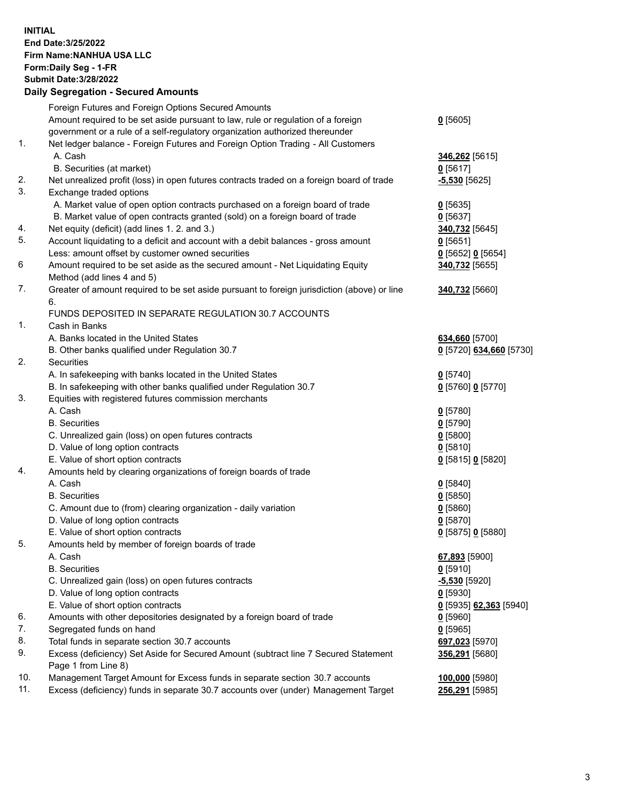**INITIAL End Date:3/25/2022 Firm Name:NANHUA USA LLC Form:Daily Seg - 1-FR Submit Date:3/28/2022**

## **Daily Segregation - Secured Amounts**

| Amount required to be set aside pursuant to law, rule or regulation of a foreign<br>$0$ [5605]<br>government or a rule of a self-regulatory organization authorized thereunder<br>1.<br>Net ledger balance - Foreign Futures and Foreign Option Trading - All Customers<br>A. Cash<br>346,262 <sup>[5615]</sup><br>B. Securities (at market)<br>$0$ [5617]<br>2.<br>Net unrealized profit (loss) in open futures contracts traded on a foreign board of trade<br>$-5,530$ [5625]<br>3.<br>Exchange traded options<br>A. Market value of open option contracts purchased on a foreign board of trade<br>$0$ [5635]<br>B. Market value of open contracts granted (sold) on a foreign board of trade<br>$0$ [5637]<br>4.<br>Net equity (deficit) (add lines 1. 2. and 3.)<br>340,732 [5645]<br>5.<br>Account liquidating to a deficit and account with a debit balances - gross amount<br>$0$ [5651]<br>Less: amount offset by customer owned securities<br>$0$ [5652] $0$ [5654]<br>6<br>Amount required to be set aside as the secured amount - Net Liquidating Equity<br>340,732 [5655]<br>Method (add lines 4 and 5)<br>7.<br>Greater of amount required to be set aside pursuant to foreign jurisdiction (above) or line<br>340,732 [5660]<br>6.<br>FUNDS DEPOSITED IN SEPARATE REGULATION 30.7 ACCOUNTS<br>1.<br>Cash in Banks<br>A. Banks located in the United States<br>634,660 [5700]<br>B. Other banks qualified under Regulation 30.7<br>2.<br>Securities<br>A. In safekeeping with banks located in the United States<br>$0$ [5740]<br>B. In safekeeping with other banks qualified under Regulation 30.7<br>$0$ [5760] 0 [5770]<br>3.<br>Equities with registered futures commission merchants<br>A. Cash<br>$0$ [5780]<br><b>B.</b> Securities<br>$0$ [5790]<br>C. Unrealized gain (loss) on open futures contracts<br>$0$ [5800]<br>D. Value of long option contracts<br>$0$ [5810]<br>E. Value of short option contracts<br>0 [5815] 0 [5820]<br>4.<br>Amounts held by clearing organizations of foreign boards of trade<br>A. Cash<br>$0$ [5840]<br><b>B.</b> Securities<br>$0$ [5850]<br>C. Amount due to (from) clearing organization - daily variation<br>$0$ [5860]<br>D. Value of long option contracts<br>$0$ [5870]<br>E. Value of short option contracts<br>0 [5875] 0 [5880]<br>5.<br>Amounts held by member of foreign boards of trade<br>A. Cash<br>67,893 [5900]<br><b>B.</b> Securities<br>$0$ [5910]<br>C. Unrealized gain (loss) on open futures contracts<br>-5,530 [5920]<br>D. Value of long option contracts<br>$0$ [5930]<br>E. Value of short option contracts<br><u>0</u> [5935] <u>62,363</u> [5940]<br>6.<br>Amounts with other depositories designated by a foreign board of trade<br>$0$ [5960]<br>7.<br>Segregated funds on hand<br>$0$ [5965]<br>8.<br>Total funds in separate section 30.7 accounts<br>697,023 [5970]<br>9.<br>Excess (deficiency) Set Aside for Secured Amount (subtract line 7 Secured Statement<br>356,291 [5680]<br>Page 1 from Line 8)<br>10.<br>Management Target Amount for Excess funds in separate section 30.7 accounts<br>100,000 [5980]<br>11.<br>Excess (deficiency) funds in separate 30.7 accounts over (under) Management Target<br>256,291 [5985] |  | Foreign Futures and Foreign Options Secured Amounts |                         |
|--------------------------------------------------------------------------------------------------------------------------------------------------------------------------------------------------------------------------------------------------------------------------------------------------------------------------------------------------------------------------------------------------------------------------------------------------------------------------------------------------------------------------------------------------------------------------------------------------------------------------------------------------------------------------------------------------------------------------------------------------------------------------------------------------------------------------------------------------------------------------------------------------------------------------------------------------------------------------------------------------------------------------------------------------------------------------------------------------------------------------------------------------------------------------------------------------------------------------------------------------------------------------------------------------------------------------------------------------------------------------------------------------------------------------------------------------------------------------------------------------------------------------------------------------------------------------------------------------------------------------------------------------------------------------------------------------------------------------------------------------------------------------------------------------------------------------------------------------------------------------------------------------------------------------------------------------------------------------------------------------------------------------------------------------------------------------------------------------------------------------------------------------------------------------------------------------------------------------------------------------------------------------------------------------------------------------------------------------------------------------------------------------------------------------------------------------------------------------------------------------------------------------------------------------------------------------------------------------------------------------------------------------------------------------------------------------------------------------------------------------------------------------------------------------------------------------------------------------------------------------------------------------------------------------------------------------------------------------------------------------------------------------------------------------------------------------------------------------------------------------------------------------------------------------------------------------------------------------------|--|-----------------------------------------------------|-------------------------|
|                                                                                                                                                                                                                                                                                                                                                                                                                                                                                                                                                                                                                                                                                                                                                                                                                                                                                                                                                                                                                                                                                                                                                                                                                                                                                                                                                                                                                                                                                                                                                                                                                                                                                                                                                                                                                                                                                                                                                                                                                                                                                                                                                                                                                                                                                                                                                                                                                                                                                                                                                                                                                                                                                                                                                                                                                                                                                                                                                                                                                                                                                                                                                                                                                                |  |                                                     |                         |
|                                                                                                                                                                                                                                                                                                                                                                                                                                                                                                                                                                                                                                                                                                                                                                                                                                                                                                                                                                                                                                                                                                                                                                                                                                                                                                                                                                                                                                                                                                                                                                                                                                                                                                                                                                                                                                                                                                                                                                                                                                                                                                                                                                                                                                                                                                                                                                                                                                                                                                                                                                                                                                                                                                                                                                                                                                                                                                                                                                                                                                                                                                                                                                                                                                |  |                                                     |                         |
|                                                                                                                                                                                                                                                                                                                                                                                                                                                                                                                                                                                                                                                                                                                                                                                                                                                                                                                                                                                                                                                                                                                                                                                                                                                                                                                                                                                                                                                                                                                                                                                                                                                                                                                                                                                                                                                                                                                                                                                                                                                                                                                                                                                                                                                                                                                                                                                                                                                                                                                                                                                                                                                                                                                                                                                                                                                                                                                                                                                                                                                                                                                                                                                                                                |  |                                                     |                         |
|                                                                                                                                                                                                                                                                                                                                                                                                                                                                                                                                                                                                                                                                                                                                                                                                                                                                                                                                                                                                                                                                                                                                                                                                                                                                                                                                                                                                                                                                                                                                                                                                                                                                                                                                                                                                                                                                                                                                                                                                                                                                                                                                                                                                                                                                                                                                                                                                                                                                                                                                                                                                                                                                                                                                                                                                                                                                                                                                                                                                                                                                                                                                                                                                                                |  |                                                     |                         |
|                                                                                                                                                                                                                                                                                                                                                                                                                                                                                                                                                                                                                                                                                                                                                                                                                                                                                                                                                                                                                                                                                                                                                                                                                                                                                                                                                                                                                                                                                                                                                                                                                                                                                                                                                                                                                                                                                                                                                                                                                                                                                                                                                                                                                                                                                                                                                                                                                                                                                                                                                                                                                                                                                                                                                                                                                                                                                                                                                                                                                                                                                                                                                                                                                                |  |                                                     |                         |
|                                                                                                                                                                                                                                                                                                                                                                                                                                                                                                                                                                                                                                                                                                                                                                                                                                                                                                                                                                                                                                                                                                                                                                                                                                                                                                                                                                                                                                                                                                                                                                                                                                                                                                                                                                                                                                                                                                                                                                                                                                                                                                                                                                                                                                                                                                                                                                                                                                                                                                                                                                                                                                                                                                                                                                                                                                                                                                                                                                                                                                                                                                                                                                                                                                |  |                                                     |                         |
|                                                                                                                                                                                                                                                                                                                                                                                                                                                                                                                                                                                                                                                                                                                                                                                                                                                                                                                                                                                                                                                                                                                                                                                                                                                                                                                                                                                                                                                                                                                                                                                                                                                                                                                                                                                                                                                                                                                                                                                                                                                                                                                                                                                                                                                                                                                                                                                                                                                                                                                                                                                                                                                                                                                                                                                                                                                                                                                                                                                                                                                                                                                                                                                                                                |  |                                                     |                         |
|                                                                                                                                                                                                                                                                                                                                                                                                                                                                                                                                                                                                                                                                                                                                                                                                                                                                                                                                                                                                                                                                                                                                                                                                                                                                                                                                                                                                                                                                                                                                                                                                                                                                                                                                                                                                                                                                                                                                                                                                                                                                                                                                                                                                                                                                                                                                                                                                                                                                                                                                                                                                                                                                                                                                                                                                                                                                                                                                                                                                                                                                                                                                                                                                                                |  |                                                     |                         |
|                                                                                                                                                                                                                                                                                                                                                                                                                                                                                                                                                                                                                                                                                                                                                                                                                                                                                                                                                                                                                                                                                                                                                                                                                                                                                                                                                                                                                                                                                                                                                                                                                                                                                                                                                                                                                                                                                                                                                                                                                                                                                                                                                                                                                                                                                                                                                                                                                                                                                                                                                                                                                                                                                                                                                                                                                                                                                                                                                                                                                                                                                                                                                                                                                                |  |                                                     |                         |
|                                                                                                                                                                                                                                                                                                                                                                                                                                                                                                                                                                                                                                                                                                                                                                                                                                                                                                                                                                                                                                                                                                                                                                                                                                                                                                                                                                                                                                                                                                                                                                                                                                                                                                                                                                                                                                                                                                                                                                                                                                                                                                                                                                                                                                                                                                                                                                                                                                                                                                                                                                                                                                                                                                                                                                                                                                                                                                                                                                                                                                                                                                                                                                                                                                |  |                                                     |                         |
|                                                                                                                                                                                                                                                                                                                                                                                                                                                                                                                                                                                                                                                                                                                                                                                                                                                                                                                                                                                                                                                                                                                                                                                                                                                                                                                                                                                                                                                                                                                                                                                                                                                                                                                                                                                                                                                                                                                                                                                                                                                                                                                                                                                                                                                                                                                                                                                                                                                                                                                                                                                                                                                                                                                                                                                                                                                                                                                                                                                                                                                                                                                                                                                                                                |  |                                                     |                         |
|                                                                                                                                                                                                                                                                                                                                                                                                                                                                                                                                                                                                                                                                                                                                                                                                                                                                                                                                                                                                                                                                                                                                                                                                                                                                                                                                                                                                                                                                                                                                                                                                                                                                                                                                                                                                                                                                                                                                                                                                                                                                                                                                                                                                                                                                                                                                                                                                                                                                                                                                                                                                                                                                                                                                                                                                                                                                                                                                                                                                                                                                                                                                                                                                                                |  |                                                     |                         |
|                                                                                                                                                                                                                                                                                                                                                                                                                                                                                                                                                                                                                                                                                                                                                                                                                                                                                                                                                                                                                                                                                                                                                                                                                                                                                                                                                                                                                                                                                                                                                                                                                                                                                                                                                                                                                                                                                                                                                                                                                                                                                                                                                                                                                                                                                                                                                                                                                                                                                                                                                                                                                                                                                                                                                                                                                                                                                                                                                                                                                                                                                                                                                                                                                                |  |                                                     |                         |
|                                                                                                                                                                                                                                                                                                                                                                                                                                                                                                                                                                                                                                                                                                                                                                                                                                                                                                                                                                                                                                                                                                                                                                                                                                                                                                                                                                                                                                                                                                                                                                                                                                                                                                                                                                                                                                                                                                                                                                                                                                                                                                                                                                                                                                                                                                                                                                                                                                                                                                                                                                                                                                                                                                                                                                                                                                                                                                                                                                                                                                                                                                                                                                                                                                |  |                                                     |                         |
|                                                                                                                                                                                                                                                                                                                                                                                                                                                                                                                                                                                                                                                                                                                                                                                                                                                                                                                                                                                                                                                                                                                                                                                                                                                                                                                                                                                                                                                                                                                                                                                                                                                                                                                                                                                                                                                                                                                                                                                                                                                                                                                                                                                                                                                                                                                                                                                                                                                                                                                                                                                                                                                                                                                                                                                                                                                                                                                                                                                                                                                                                                                                                                                                                                |  |                                                     |                         |
|                                                                                                                                                                                                                                                                                                                                                                                                                                                                                                                                                                                                                                                                                                                                                                                                                                                                                                                                                                                                                                                                                                                                                                                                                                                                                                                                                                                                                                                                                                                                                                                                                                                                                                                                                                                                                                                                                                                                                                                                                                                                                                                                                                                                                                                                                                                                                                                                                                                                                                                                                                                                                                                                                                                                                                                                                                                                                                                                                                                                                                                                                                                                                                                                                                |  |                                                     |                         |
|                                                                                                                                                                                                                                                                                                                                                                                                                                                                                                                                                                                                                                                                                                                                                                                                                                                                                                                                                                                                                                                                                                                                                                                                                                                                                                                                                                                                                                                                                                                                                                                                                                                                                                                                                                                                                                                                                                                                                                                                                                                                                                                                                                                                                                                                                                                                                                                                                                                                                                                                                                                                                                                                                                                                                                                                                                                                                                                                                                                                                                                                                                                                                                                                                                |  |                                                     |                         |
|                                                                                                                                                                                                                                                                                                                                                                                                                                                                                                                                                                                                                                                                                                                                                                                                                                                                                                                                                                                                                                                                                                                                                                                                                                                                                                                                                                                                                                                                                                                                                                                                                                                                                                                                                                                                                                                                                                                                                                                                                                                                                                                                                                                                                                                                                                                                                                                                                                                                                                                                                                                                                                                                                                                                                                                                                                                                                                                                                                                                                                                                                                                                                                                                                                |  |                                                     |                         |
|                                                                                                                                                                                                                                                                                                                                                                                                                                                                                                                                                                                                                                                                                                                                                                                                                                                                                                                                                                                                                                                                                                                                                                                                                                                                                                                                                                                                                                                                                                                                                                                                                                                                                                                                                                                                                                                                                                                                                                                                                                                                                                                                                                                                                                                                                                                                                                                                                                                                                                                                                                                                                                                                                                                                                                                                                                                                                                                                                                                                                                                                                                                                                                                                                                |  |                                                     |                         |
|                                                                                                                                                                                                                                                                                                                                                                                                                                                                                                                                                                                                                                                                                                                                                                                                                                                                                                                                                                                                                                                                                                                                                                                                                                                                                                                                                                                                                                                                                                                                                                                                                                                                                                                                                                                                                                                                                                                                                                                                                                                                                                                                                                                                                                                                                                                                                                                                                                                                                                                                                                                                                                                                                                                                                                                                                                                                                                                                                                                                                                                                                                                                                                                                                                |  |                                                     | 0 [5720] 634,660 [5730] |
|                                                                                                                                                                                                                                                                                                                                                                                                                                                                                                                                                                                                                                                                                                                                                                                                                                                                                                                                                                                                                                                                                                                                                                                                                                                                                                                                                                                                                                                                                                                                                                                                                                                                                                                                                                                                                                                                                                                                                                                                                                                                                                                                                                                                                                                                                                                                                                                                                                                                                                                                                                                                                                                                                                                                                                                                                                                                                                                                                                                                                                                                                                                                                                                                                                |  |                                                     |                         |
|                                                                                                                                                                                                                                                                                                                                                                                                                                                                                                                                                                                                                                                                                                                                                                                                                                                                                                                                                                                                                                                                                                                                                                                                                                                                                                                                                                                                                                                                                                                                                                                                                                                                                                                                                                                                                                                                                                                                                                                                                                                                                                                                                                                                                                                                                                                                                                                                                                                                                                                                                                                                                                                                                                                                                                                                                                                                                                                                                                                                                                                                                                                                                                                                                                |  |                                                     |                         |
|                                                                                                                                                                                                                                                                                                                                                                                                                                                                                                                                                                                                                                                                                                                                                                                                                                                                                                                                                                                                                                                                                                                                                                                                                                                                                                                                                                                                                                                                                                                                                                                                                                                                                                                                                                                                                                                                                                                                                                                                                                                                                                                                                                                                                                                                                                                                                                                                                                                                                                                                                                                                                                                                                                                                                                                                                                                                                                                                                                                                                                                                                                                                                                                                                                |  |                                                     |                         |
|                                                                                                                                                                                                                                                                                                                                                                                                                                                                                                                                                                                                                                                                                                                                                                                                                                                                                                                                                                                                                                                                                                                                                                                                                                                                                                                                                                                                                                                                                                                                                                                                                                                                                                                                                                                                                                                                                                                                                                                                                                                                                                                                                                                                                                                                                                                                                                                                                                                                                                                                                                                                                                                                                                                                                                                                                                                                                                                                                                                                                                                                                                                                                                                                                                |  |                                                     |                         |
|                                                                                                                                                                                                                                                                                                                                                                                                                                                                                                                                                                                                                                                                                                                                                                                                                                                                                                                                                                                                                                                                                                                                                                                                                                                                                                                                                                                                                                                                                                                                                                                                                                                                                                                                                                                                                                                                                                                                                                                                                                                                                                                                                                                                                                                                                                                                                                                                                                                                                                                                                                                                                                                                                                                                                                                                                                                                                                                                                                                                                                                                                                                                                                                                                                |  |                                                     |                         |
|                                                                                                                                                                                                                                                                                                                                                                                                                                                                                                                                                                                                                                                                                                                                                                                                                                                                                                                                                                                                                                                                                                                                                                                                                                                                                                                                                                                                                                                                                                                                                                                                                                                                                                                                                                                                                                                                                                                                                                                                                                                                                                                                                                                                                                                                                                                                                                                                                                                                                                                                                                                                                                                                                                                                                                                                                                                                                                                                                                                                                                                                                                                                                                                                                                |  |                                                     |                         |
|                                                                                                                                                                                                                                                                                                                                                                                                                                                                                                                                                                                                                                                                                                                                                                                                                                                                                                                                                                                                                                                                                                                                                                                                                                                                                                                                                                                                                                                                                                                                                                                                                                                                                                                                                                                                                                                                                                                                                                                                                                                                                                                                                                                                                                                                                                                                                                                                                                                                                                                                                                                                                                                                                                                                                                                                                                                                                                                                                                                                                                                                                                                                                                                                                                |  |                                                     |                         |
|                                                                                                                                                                                                                                                                                                                                                                                                                                                                                                                                                                                                                                                                                                                                                                                                                                                                                                                                                                                                                                                                                                                                                                                                                                                                                                                                                                                                                                                                                                                                                                                                                                                                                                                                                                                                                                                                                                                                                                                                                                                                                                                                                                                                                                                                                                                                                                                                                                                                                                                                                                                                                                                                                                                                                                                                                                                                                                                                                                                                                                                                                                                                                                                                                                |  |                                                     |                         |
|                                                                                                                                                                                                                                                                                                                                                                                                                                                                                                                                                                                                                                                                                                                                                                                                                                                                                                                                                                                                                                                                                                                                                                                                                                                                                                                                                                                                                                                                                                                                                                                                                                                                                                                                                                                                                                                                                                                                                                                                                                                                                                                                                                                                                                                                                                                                                                                                                                                                                                                                                                                                                                                                                                                                                                                                                                                                                                                                                                                                                                                                                                                                                                                                                                |  |                                                     |                         |
|                                                                                                                                                                                                                                                                                                                                                                                                                                                                                                                                                                                                                                                                                                                                                                                                                                                                                                                                                                                                                                                                                                                                                                                                                                                                                                                                                                                                                                                                                                                                                                                                                                                                                                                                                                                                                                                                                                                                                                                                                                                                                                                                                                                                                                                                                                                                                                                                                                                                                                                                                                                                                                                                                                                                                                                                                                                                                                                                                                                                                                                                                                                                                                                                                                |  |                                                     |                         |
|                                                                                                                                                                                                                                                                                                                                                                                                                                                                                                                                                                                                                                                                                                                                                                                                                                                                                                                                                                                                                                                                                                                                                                                                                                                                                                                                                                                                                                                                                                                                                                                                                                                                                                                                                                                                                                                                                                                                                                                                                                                                                                                                                                                                                                                                                                                                                                                                                                                                                                                                                                                                                                                                                                                                                                                                                                                                                                                                                                                                                                                                                                                                                                                                                                |  |                                                     |                         |
|                                                                                                                                                                                                                                                                                                                                                                                                                                                                                                                                                                                                                                                                                                                                                                                                                                                                                                                                                                                                                                                                                                                                                                                                                                                                                                                                                                                                                                                                                                                                                                                                                                                                                                                                                                                                                                                                                                                                                                                                                                                                                                                                                                                                                                                                                                                                                                                                                                                                                                                                                                                                                                                                                                                                                                                                                                                                                                                                                                                                                                                                                                                                                                                                                                |  |                                                     |                         |
|                                                                                                                                                                                                                                                                                                                                                                                                                                                                                                                                                                                                                                                                                                                                                                                                                                                                                                                                                                                                                                                                                                                                                                                                                                                                                                                                                                                                                                                                                                                                                                                                                                                                                                                                                                                                                                                                                                                                                                                                                                                                                                                                                                                                                                                                                                                                                                                                                                                                                                                                                                                                                                                                                                                                                                                                                                                                                                                                                                                                                                                                                                                                                                                                                                |  |                                                     |                         |
|                                                                                                                                                                                                                                                                                                                                                                                                                                                                                                                                                                                                                                                                                                                                                                                                                                                                                                                                                                                                                                                                                                                                                                                                                                                                                                                                                                                                                                                                                                                                                                                                                                                                                                                                                                                                                                                                                                                                                                                                                                                                                                                                                                                                                                                                                                                                                                                                                                                                                                                                                                                                                                                                                                                                                                                                                                                                                                                                                                                                                                                                                                                                                                                                                                |  |                                                     |                         |
|                                                                                                                                                                                                                                                                                                                                                                                                                                                                                                                                                                                                                                                                                                                                                                                                                                                                                                                                                                                                                                                                                                                                                                                                                                                                                                                                                                                                                                                                                                                                                                                                                                                                                                                                                                                                                                                                                                                                                                                                                                                                                                                                                                                                                                                                                                                                                                                                                                                                                                                                                                                                                                                                                                                                                                                                                                                                                                                                                                                                                                                                                                                                                                                                                                |  |                                                     |                         |
|                                                                                                                                                                                                                                                                                                                                                                                                                                                                                                                                                                                                                                                                                                                                                                                                                                                                                                                                                                                                                                                                                                                                                                                                                                                                                                                                                                                                                                                                                                                                                                                                                                                                                                                                                                                                                                                                                                                                                                                                                                                                                                                                                                                                                                                                                                                                                                                                                                                                                                                                                                                                                                                                                                                                                                                                                                                                                                                                                                                                                                                                                                                                                                                                                                |  |                                                     |                         |
|                                                                                                                                                                                                                                                                                                                                                                                                                                                                                                                                                                                                                                                                                                                                                                                                                                                                                                                                                                                                                                                                                                                                                                                                                                                                                                                                                                                                                                                                                                                                                                                                                                                                                                                                                                                                                                                                                                                                                                                                                                                                                                                                                                                                                                                                                                                                                                                                                                                                                                                                                                                                                                                                                                                                                                                                                                                                                                                                                                                                                                                                                                                                                                                                                                |  |                                                     |                         |
|                                                                                                                                                                                                                                                                                                                                                                                                                                                                                                                                                                                                                                                                                                                                                                                                                                                                                                                                                                                                                                                                                                                                                                                                                                                                                                                                                                                                                                                                                                                                                                                                                                                                                                                                                                                                                                                                                                                                                                                                                                                                                                                                                                                                                                                                                                                                                                                                                                                                                                                                                                                                                                                                                                                                                                                                                                                                                                                                                                                                                                                                                                                                                                                                                                |  |                                                     |                         |
|                                                                                                                                                                                                                                                                                                                                                                                                                                                                                                                                                                                                                                                                                                                                                                                                                                                                                                                                                                                                                                                                                                                                                                                                                                                                                                                                                                                                                                                                                                                                                                                                                                                                                                                                                                                                                                                                                                                                                                                                                                                                                                                                                                                                                                                                                                                                                                                                                                                                                                                                                                                                                                                                                                                                                                                                                                                                                                                                                                                                                                                                                                                                                                                                                                |  |                                                     |                         |
|                                                                                                                                                                                                                                                                                                                                                                                                                                                                                                                                                                                                                                                                                                                                                                                                                                                                                                                                                                                                                                                                                                                                                                                                                                                                                                                                                                                                                                                                                                                                                                                                                                                                                                                                                                                                                                                                                                                                                                                                                                                                                                                                                                                                                                                                                                                                                                                                                                                                                                                                                                                                                                                                                                                                                                                                                                                                                                                                                                                                                                                                                                                                                                                                                                |  |                                                     |                         |
|                                                                                                                                                                                                                                                                                                                                                                                                                                                                                                                                                                                                                                                                                                                                                                                                                                                                                                                                                                                                                                                                                                                                                                                                                                                                                                                                                                                                                                                                                                                                                                                                                                                                                                                                                                                                                                                                                                                                                                                                                                                                                                                                                                                                                                                                                                                                                                                                                                                                                                                                                                                                                                                                                                                                                                                                                                                                                                                                                                                                                                                                                                                                                                                                                                |  |                                                     |                         |
|                                                                                                                                                                                                                                                                                                                                                                                                                                                                                                                                                                                                                                                                                                                                                                                                                                                                                                                                                                                                                                                                                                                                                                                                                                                                                                                                                                                                                                                                                                                                                                                                                                                                                                                                                                                                                                                                                                                                                                                                                                                                                                                                                                                                                                                                                                                                                                                                                                                                                                                                                                                                                                                                                                                                                                                                                                                                                                                                                                                                                                                                                                                                                                                                                                |  |                                                     |                         |
|                                                                                                                                                                                                                                                                                                                                                                                                                                                                                                                                                                                                                                                                                                                                                                                                                                                                                                                                                                                                                                                                                                                                                                                                                                                                                                                                                                                                                                                                                                                                                                                                                                                                                                                                                                                                                                                                                                                                                                                                                                                                                                                                                                                                                                                                                                                                                                                                                                                                                                                                                                                                                                                                                                                                                                                                                                                                                                                                                                                                                                                                                                                                                                                                                                |  |                                                     |                         |
|                                                                                                                                                                                                                                                                                                                                                                                                                                                                                                                                                                                                                                                                                                                                                                                                                                                                                                                                                                                                                                                                                                                                                                                                                                                                                                                                                                                                                                                                                                                                                                                                                                                                                                                                                                                                                                                                                                                                                                                                                                                                                                                                                                                                                                                                                                                                                                                                                                                                                                                                                                                                                                                                                                                                                                                                                                                                                                                                                                                                                                                                                                                                                                                                                                |  |                                                     |                         |
|                                                                                                                                                                                                                                                                                                                                                                                                                                                                                                                                                                                                                                                                                                                                                                                                                                                                                                                                                                                                                                                                                                                                                                                                                                                                                                                                                                                                                                                                                                                                                                                                                                                                                                                                                                                                                                                                                                                                                                                                                                                                                                                                                                                                                                                                                                                                                                                                                                                                                                                                                                                                                                                                                                                                                                                                                                                                                                                                                                                                                                                                                                                                                                                                                                |  |                                                     |                         |
|                                                                                                                                                                                                                                                                                                                                                                                                                                                                                                                                                                                                                                                                                                                                                                                                                                                                                                                                                                                                                                                                                                                                                                                                                                                                                                                                                                                                                                                                                                                                                                                                                                                                                                                                                                                                                                                                                                                                                                                                                                                                                                                                                                                                                                                                                                                                                                                                                                                                                                                                                                                                                                                                                                                                                                                                                                                                                                                                                                                                                                                                                                                                                                                                                                |  |                                                     |                         |
|                                                                                                                                                                                                                                                                                                                                                                                                                                                                                                                                                                                                                                                                                                                                                                                                                                                                                                                                                                                                                                                                                                                                                                                                                                                                                                                                                                                                                                                                                                                                                                                                                                                                                                                                                                                                                                                                                                                                                                                                                                                                                                                                                                                                                                                                                                                                                                                                                                                                                                                                                                                                                                                                                                                                                                                                                                                                                                                                                                                                                                                                                                                                                                                                                                |  |                                                     |                         |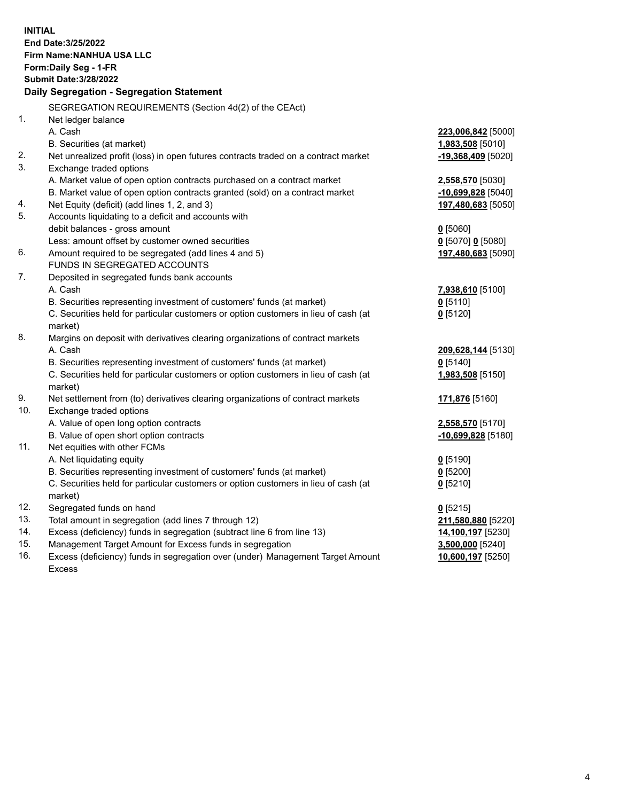**INITIAL End Date:3/25/2022 Firm Name:NANHUA USA LLC Form:Daily Seg - 1-FR Submit Date:3/28/2022 Daily Segregation - Segregation Statement** SEGREGATION REQUIREMENTS (Section 4d(2) of the CEAct) 1. Net ledger balance A. Cash **223,006,842** [5000] B. Securities (at market) **1,983,508** [5010] 2. Net unrealized profit (loss) in open futures contracts traded on a contract market **-19,368,409** [5020] 3. Exchange traded options A. Market value of open option contracts purchased on a contract market **2,558,570** [5030] B. Market value of open option contracts granted (sold) on a contract market **-10,699,828** [5040] 4. Net Equity (deficit) (add lines 1, 2, and 3) **197,480,683** [5050] 5. Accounts liquidating to a deficit and accounts with debit balances - gross amount **0** [5060] Less: amount offset by customer owned securities **0** [5070] **0** [5080] 6. Amount required to be segregated (add lines 4 and 5) **197,480,683** [5090] FUNDS IN SEGREGATED ACCOUNTS 7. Deposited in segregated funds bank accounts A. Cash **7,938,610** [5100] B. Securities representing investment of customers' funds (at market) **0** [5110] C. Securities held for particular customers or option customers in lieu of cash (at market) **0** [5120] 8. Margins on deposit with derivatives clearing organizations of contract markets A. Cash **209,628,144** [5130] B. Securities representing investment of customers' funds (at market) **0** [5140] C. Securities held for particular customers or option customers in lieu of cash (at market) **1,983,508** [5150] 9. Net settlement from (to) derivatives clearing organizations of contract markets **171,876** [5160] 10. Exchange traded options A. Value of open long option contracts **2,558,570** [5170] B. Value of open short option contracts **-10,699,828** [5180] 11. Net equities with other FCMs A. Net liquidating equity **0** [5190] B. Securities representing investment of customers' funds (at market) **0** [5200] C. Securities held for particular customers or option customers in lieu of cash (at market) **0** [5210] 12. Segregated funds on hand **0** [5215] 13. Total amount in segregation (add lines 7 through 12) **211,580,880** [5220] 14. Excess (deficiency) funds in segregation (subtract line 6 from line 13) **14,100,197** [5230] 15. Management Target Amount for Excess funds in segregation **3,500,000** [5240] 16. Excess (deficiency) funds in segregation over (under) Management Target Amount Excess **10,600,197** [5250]